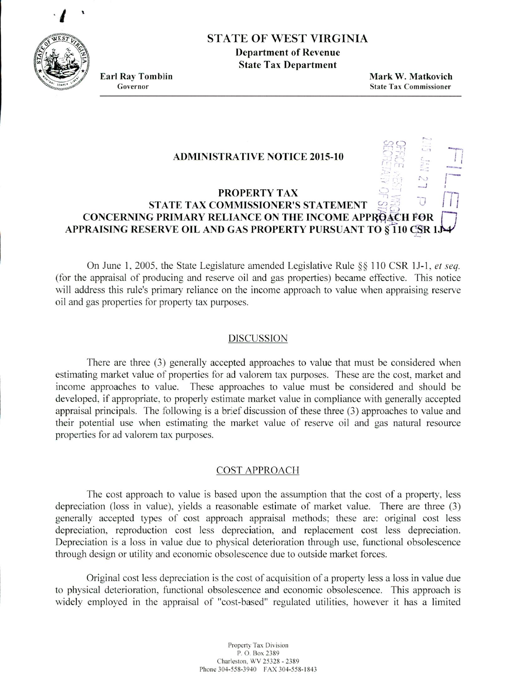

# STATE OF WEST VIRGINIA

**Department of Revenue State Tax Department**

**Earl Ray Tomblin Mark W. Matkovich** Governor **State Tax Commissioner**

N

 $\circ c$ 

## **ADMINISTRATIVE NOTICE 2015-10 :.**

# **PROPERTY TAX STATE TAX COMMISSIONER'S STATEMENT I** *I* **<sup>j</sup> CONCERNING PRIMARY RELIANCE ON THE INCOME APPROACH FOR APPRAISING RESERVE OIL AND GAS PROPERTY PURSUANT TO §110 CSR L**

On June 1, 2005, the State Legislature amended Legislative Rule  $\S$  110 CSR 1J-1, *et seq.* (for the appraisal of producing and reserve oil and gas properties) became effective. This notice will address this rule's primary reliance on the income approach to value when appraising reserve oil and gas properties for property tax purposes.

#### DISCUSSION

There are three (3) generally accepted approaches to value that must be considered when estimating market value of properties for ad valorem tax purposes. These are the cost, market and income approaches to value. These approaches to value must be considered and should he developed, if appropriate, to properly estimate market value in compliance with generally accepted appraisal principals. The following is a brief discussion of these three (3) approaches to value and their potential use when estimating the market value of reserve oil and gas natural resource properties for ad valorem tax purposes.

## COST APPROACH

The cost approach to value is based upon the assumption that the cost of a property. less depreciation (loss in value), yields a reasonable estimate of market value. There are three *(3)* generally accepted types of cost approach appraisal methods: these are: original cost less depreciation, reproduction cost less depreciation, and replacement cost less depreciation. Depreciation is a loss in value due to physical deterioration through use. functional obsolescence through design or utility and economic obsolescence due to outside market forces.

Original cost less depreciation is the cost of acquisition of a property less a loss in value due to physical deterioration, functional obsolescence and economic obsolescence. This approach is widely employed in the appraisal of 'cost-based' regulated utilities, however it has a limited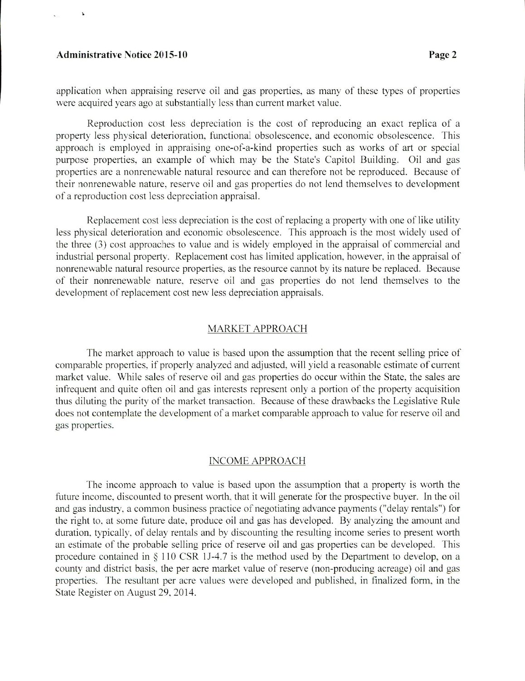#### **Administrative Notice 2015-10 Page** 2

 $\mathbf{r}$ 

application when appraising reserve oil and gas properties, as many of these types of properties were acquired years ago at substantially less than current market value.

Reproduction cost less depreciation is the cost of reproducing an exact replica of a property less physical deterioration, functional obsolescence. and economic obsolescence. This approach is employed in appraising one-of-a-kind properties such as works of art or special purpose properties. an example of which may be the State's Capitol Building. Oil and gas properties are a nonrenewable natural resource and can therefore not be reproduced. Because of their nonrenewable nature, reserve oil and gas properties do not lend themselves to development of'a reproduction cost less depreciation appraisal.

Replacement cost icss depreciation is the cost of replacing a property with one *of* like utility less physical deterioration and economic obsolescence. This approach is the most widely used of the three  $(3)$  cost approaches to value and is widely employed in the appraisal of commercial and industrial personal property. Replacement cost has limited application, however, in the appraisal of nonrenewable natural resource properties, as the resource cannot by its nature be replaced. Because of their nonrenewable nature. reserve oil and eas properties do not lend themselves to the development of replacement cost new less depreciation appraisals.

#### MARKET APPROACH

The market approach to value is based upon the assumption that the recent selling price of comparable properties, if properly analyzed and adjusted. will yield a reasonable estimate of current market value. While sales of reserve oil and gas properties do occur within the State. the sales are infrequent and quite often oil and gas interests represent only a portion of the property acquisition thus diluting the purity of the market transaction. Because of these drawbacks the Legislative Rule does not contemplate the development of a market comparable approach to value for reserve oil and gas properties.

## **INCOME APPROACH**

The income approach to value is based upon the assumption that a property is worth the future income, discounted to present worth. that it will generate for the prospective buyer. In the oil and gas industry, a common business practice of negotiating advance payments ("delay rentals") for the right to. at some future date. produce oil and gas has developed. By analyzing the amount and duration. typically. of delay rentals and by discounting the resulting income series to present worth an estimate of the probable selling price of reserve oil and gas properties can be developed. This procedure contained in  $\S$  110 CSR 1J-4.7 is the method used by the Department to develop, on a county and district basis, the per acre market value of reserve (non-producing acreage) oil and gas properties. The resultant per acre values were developed and published, in finalized form, in the State Register on August 29. 2014.